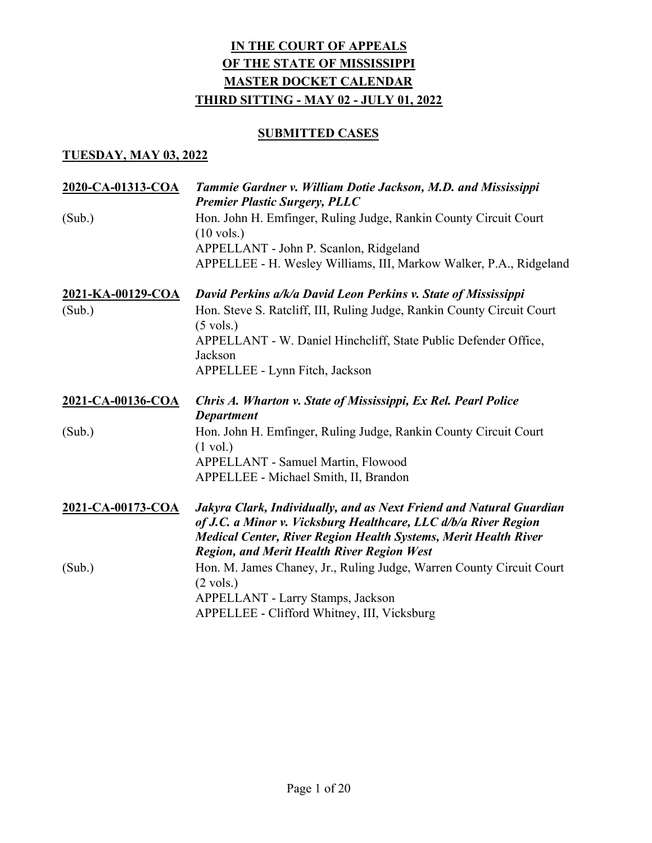### **SUBMITTED CASES**

| 2020-CA-01313-COA | Tammie Gardner v. William Dotie Jackson, M.D. and Mississippi<br><b>Premier Plastic Surgery, PLLC</b>                                  |
|-------------------|----------------------------------------------------------------------------------------------------------------------------------------|
| (Sub.)            | Hon. John H. Emfinger, Ruling Judge, Rankin County Circuit Court<br>$(10 \text{ vols.})$                                               |
|                   | APPELLANT - John P. Scanlon, Ridgeland<br>APPELLEE - H. Wesley Williams, III, Markow Walker, P.A., Ridgeland                           |
| 2021-KA-00129-COA | David Perkins a/k/a David Leon Perkins v. State of Mississippi                                                                         |
| (Sub.)            | Hon. Steve S. Ratcliff, III, Ruling Judge, Rankin County Circuit Court<br>$(5 \text{ vols.})$                                          |
|                   | APPELLANT - W. Daniel Hinchcliff, State Public Defender Office,<br>Jackson                                                             |
|                   | APPELLEE - Lynn Fitch, Jackson                                                                                                         |
| 2021-CA-00136-COA | Chris A. Wharton v. State of Mississippi, Ex Rel. Pearl Police<br><b>Department</b>                                                    |
| (Sub.)            | Hon. John H. Emfinger, Ruling Judge, Rankin County Circuit Court<br>$(1 \text{ vol.})$                                                 |
|                   | APPELLANT - Samuel Martin, Flowood                                                                                                     |
|                   | APPELLEE - Michael Smith, II, Brandon                                                                                                  |
| 2021-CA-00173-COA | Jakyra Clark, Individually, and as Next Friend and Natural Guardian<br>of J.C. a Minor v. Vicksburg Healthcare, LLC d/b/a River Region |
|                   | Medical Center, River Region Health Systems, Merit Health River                                                                        |
|                   | <b>Region, and Merit Health River Region West</b>                                                                                      |
| (Sub.)            | Hon. M. James Chaney, Jr., Ruling Judge, Warren County Circuit Court<br>$(2 \text{ vols.})$                                            |
|                   | APPELLANT - Larry Stamps, Jackson                                                                                                      |
|                   | APPELLEE - Clifford Whitney, III, Vicksburg                                                                                            |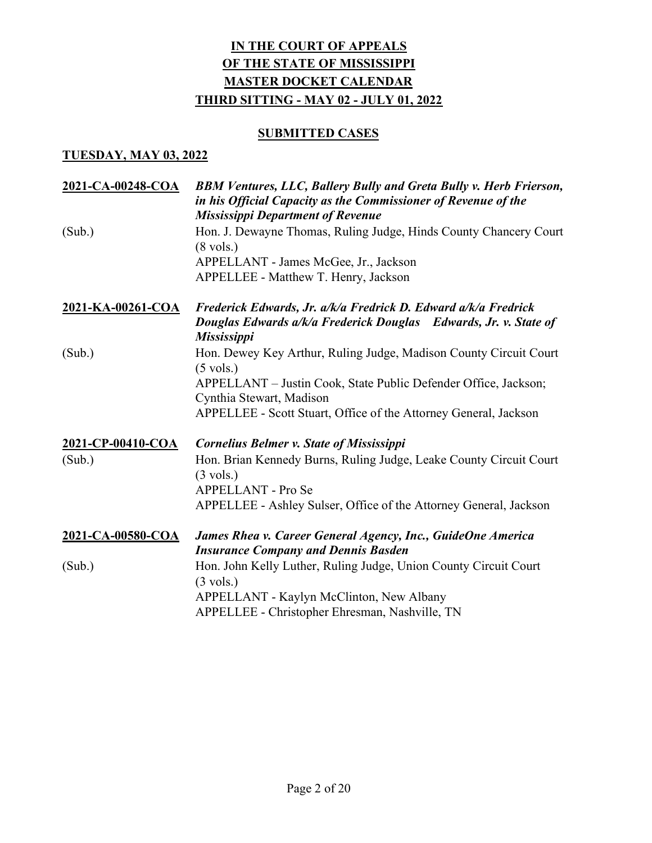### **SUBMITTED CASES**

| 2021-CA-00248-COA        | <b>BBM Ventures, LLC, Ballery Bully and Greta Bully v. Herb Frierson,</b><br>in his Official Capacity as the Commissioner of Revenue of the<br><b>Mississippi Department of Revenue</b> |
|--------------------------|-----------------------------------------------------------------------------------------------------------------------------------------------------------------------------------------|
| (Sub.)                   | Hon. J. Dewayne Thomas, Ruling Judge, Hinds County Chancery Court<br>$(8 \text{ vols.})$                                                                                                |
|                          | APPELLANT - James McGee, Jr., Jackson<br>APPELLEE - Matthew T. Henry, Jackson                                                                                                           |
| 2021-KA-00261-COA        | Frederick Edwards, Jr. a/k/a Fredrick D. Edward a/k/a Fredrick<br>Douglas Edwards a/k/a Frederick Douglas Edwards, Jr. v. State of<br><b>Mississippi</b>                                |
| (Sub.)                   | Hon. Dewey Key Arthur, Ruling Judge, Madison County Circuit Court<br>$(5 \text{ vols.})$                                                                                                |
|                          | APPELLANT – Justin Cook, State Public Defender Office, Jackson;<br>Cynthia Stewart, Madison                                                                                             |
|                          | APPELLEE - Scott Stuart, Office of the Attorney General, Jackson                                                                                                                        |
| 2021-CP-00410-COA        | <b>Cornelius Belmer v. State of Mississippi</b>                                                                                                                                         |
| (Sub.)                   | Hon. Brian Kennedy Burns, Ruling Judge, Leake County Circuit Court<br>$(3 \text{ vols.})$                                                                                               |
|                          | APPELLANT - Pro Se<br>APPELLEE - Ashley Sulser, Office of the Attorney General, Jackson                                                                                                 |
|                          |                                                                                                                                                                                         |
| <u>2021-CA-00580-COA</u> | James Rhea v. Career General Agency, Inc., GuideOne America                                                                                                                             |
|                          | <b>Insurance Company and Dennis Basden</b>                                                                                                                                              |
| (Sub.)                   | Hon. John Kelly Luther, Ruling Judge, Union County Circuit Court<br>$(3 \text{ vols.})$                                                                                                 |
|                          | APPELLANT - Kaylyn McClinton, New Albany                                                                                                                                                |
|                          | APPELLEE - Christopher Ehresman, Nashville, TN                                                                                                                                          |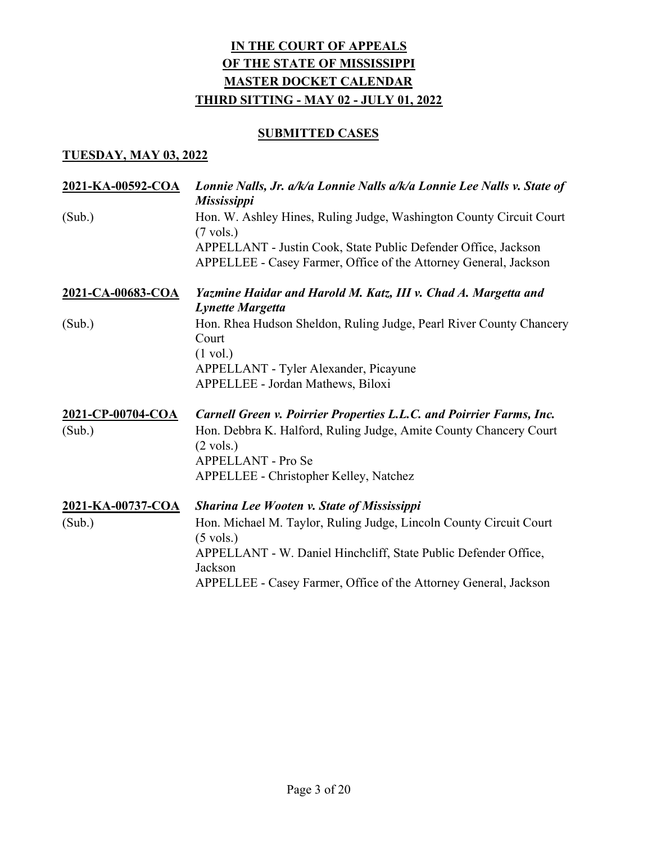### **SUBMITTED CASES**

| 2021-KA-00592-COA | Lonnie Nalls, Jr. a/k/a Lonnie Nalls a/k/a Lonnie Lee Nalls v. State of<br><b>Mississippi</b>                                      |
|-------------------|------------------------------------------------------------------------------------------------------------------------------------|
| (Sub.)            | Hon. W. Ashley Hines, Ruling Judge, Washington County Circuit Court<br>$(7 \text{ vols.})$                                         |
|                   | APPELLANT - Justin Cook, State Public Defender Office, Jackson<br>APPELLEE - Casey Farmer, Office of the Attorney General, Jackson |
| 2021-CA-00683-COA | Yazmine Haidar and Harold M. Katz, III v. Chad A. Margetta and<br><b>Lynette Margetta</b>                                          |
| (Sub.)            | Hon. Rhea Hudson Sheldon, Ruling Judge, Pearl River County Chancery<br>Court<br>$(1 \text{ vol.})$                                 |
|                   | APPELLANT - Tyler Alexander, Picayune<br>APPELLEE - Jordan Mathews, Biloxi                                                         |
| 2021-CP-00704-COA | Carnell Green v. Poirrier Properties L.L.C. and Poirrier Farms, Inc.                                                               |
| (Sub.)            | Hon. Debbra K. Halford, Ruling Judge, Amite County Chancery Court<br>$(2 \text{ vols.})$                                           |
|                   | <b>APPELLANT - Pro Se</b>                                                                                                          |
|                   | APPELLEE - Christopher Kelley, Natchez                                                                                             |
| 2021-KA-00737-COA | <b>Sharina Lee Wooten v. State of Mississippi</b>                                                                                  |
| (Sub.)            | Hon. Michael M. Taylor, Ruling Judge, Lincoln County Circuit Court<br>$(5 \text{ vols.})$                                          |
|                   | APPELLANT - W. Daniel Hinchcliff, State Public Defender Office,<br>Jackson                                                         |
|                   | APPELLEE - Casey Farmer, Office of the Attorney General, Jackson                                                                   |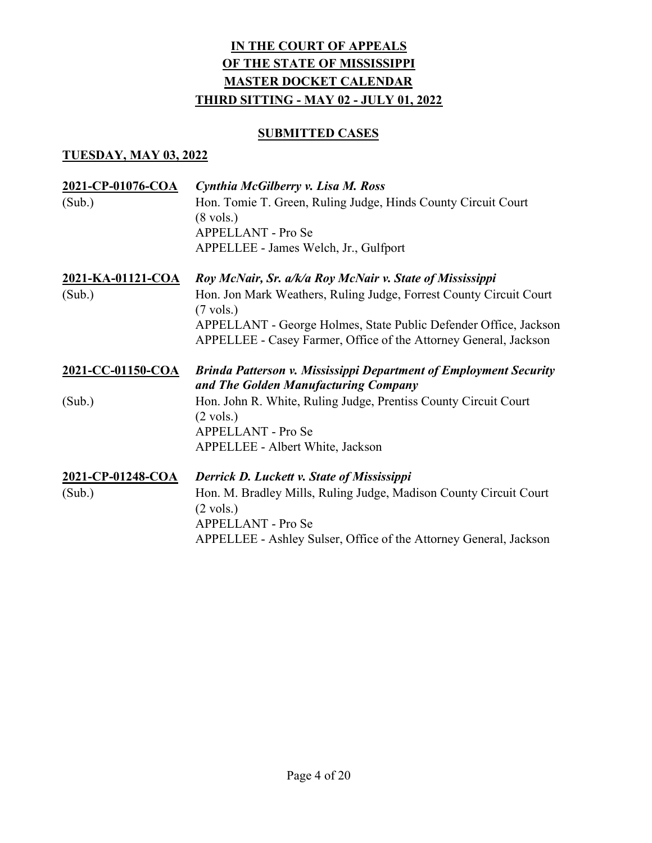### **SUBMITTED CASES**

| 2021-CP-01076-COA        | Cynthia McGilberry v. Lisa M. Ross                                                        |
|--------------------------|-------------------------------------------------------------------------------------------|
| (Sub.)                   | Hon. Tomie T. Green, Ruling Judge, Hinds County Circuit Court<br>$(8 \text{ vols.})$      |
|                          | <b>APPELLANT - Pro Se</b><br>APPELLEE - James Welch, Jr., Gulfport                        |
| <u>2021-KA-01121-COA</u> | Roy McNair, Sr. a/k/a Roy McNair v. State of Mississippi                                  |
| (Sub.)                   | Hon. Jon Mark Weathers, Ruling Judge, Forrest County Circuit Court<br>$(7 \text{ vols.})$ |
|                          | APPELLANT - George Holmes, State Public Defender Office, Jackson                          |
|                          | APPELLEE - Casey Farmer, Office of the Attorney General, Jackson                          |
| 2021-CC-01150-COA        | <b>Brinda Patterson v. Mississippi Department of Employment Security</b>                  |
|                          | and The Golden Manufacturing Company                                                      |
| (Sub.)                   | Hon. John R. White, Ruling Judge, Prentiss County Circuit Court<br>$(2 \text{ vols.})$    |
|                          | <b>APPELLANT - Pro Se</b>                                                                 |
|                          | APPELLEE - Albert White, Jackson                                                          |
| <u>2021-CP-01248-COA</u> | <b>Derrick D. Luckett v. State of Mississippi</b>                                         |
| (Sub.)                   | Hon. M. Bradley Mills, Ruling Judge, Madison County Circuit Court<br>$(2 \text{ vols.})$  |
|                          | <b>APPELLANT - Pro Se</b>                                                                 |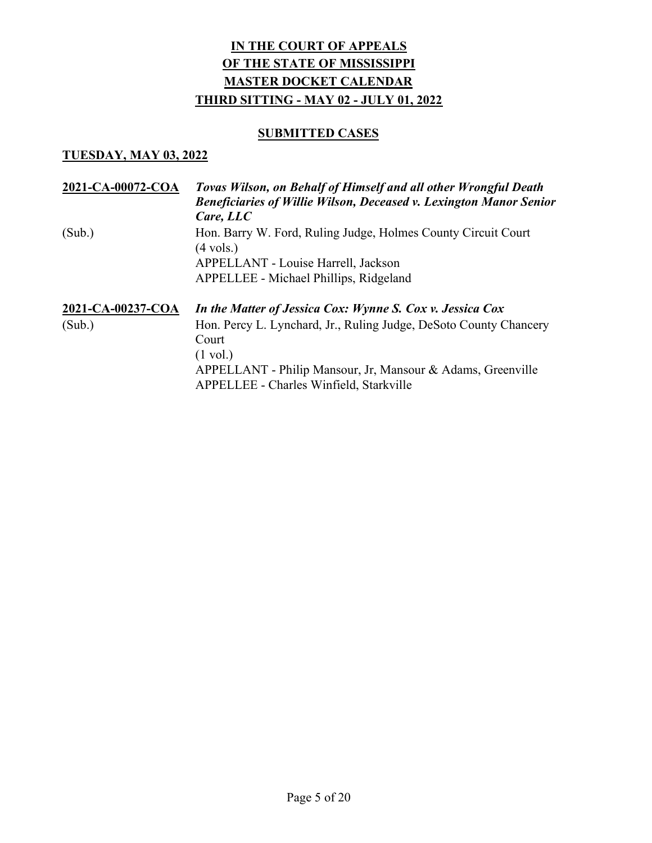### **SUBMITTED CASES**

| 2021-CA-00072-COA | Tovas Wilson, on Behalf of Himself and all other Wrongful Death<br><b>Beneficiaries of Willie Wilson, Deceased v. Lexington Manor Senior</b><br>Care, LLC |
|-------------------|-----------------------------------------------------------------------------------------------------------------------------------------------------------|
| (Sub.)            | Hon. Barry W. Ford, Ruling Judge, Holmes County Circuit Court<br>$(4 \text{ vols.})$                                                                      |
|                   | APPELLANT - Louise Harrell, Jackson                                                                                                                       |
|                   | APPELLEE - Michael Phillips, Ridgeland                                                                                                                    |
| 2021-CA-00237-COA | In the Matter of Jessica Cox: Wynne S. Cox v. Jessica Cox                                                                                                 |
| (Sub.)            | Hon. Percy L. Lynchard, Jr., Ruling Judge, DeSoto County Chancery                                                                                         |
|                   | Court                                                                                                                                                     |
|                   | $(1 \text{ vol.})$                                                                                                                                        |
|                   | APPELLANT - Philip Mansour, Jr, Mansour & Adams, Greenville                                                                                               |
|                   | APPELLEE - Charles Winfield, Starkville                                                                                                                   |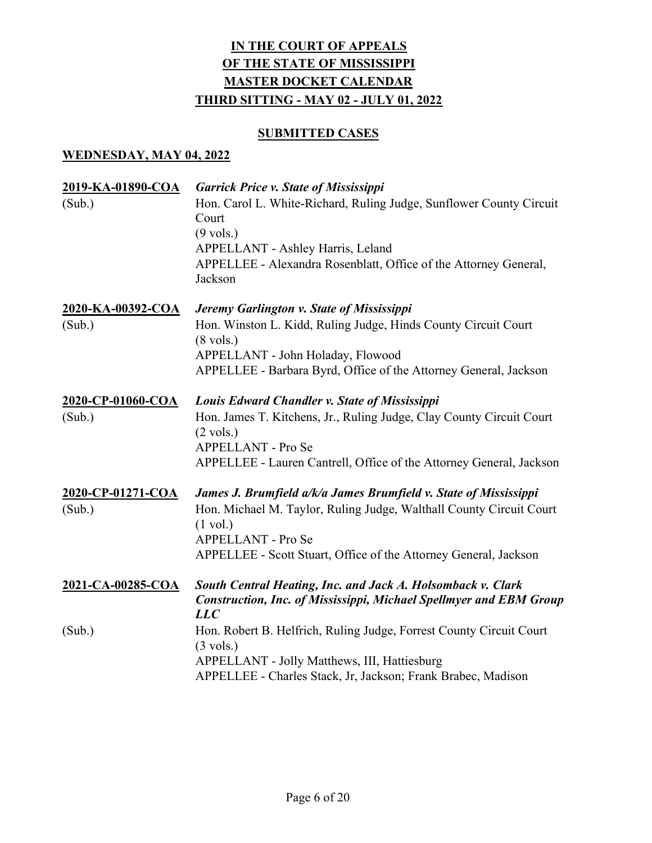# SUBMITTED CASES

| 2019-KA-01890-COA<br>(Sub.) | <b>Garrick Price v. State of Mississippi</b><br>Hon. Carol L. White-Richard, Ruling Judge, Sunflower County Circuit<br>Court<br>$(9 \text{ vols.})$<br>APPELLANT - Ashley Harris, Leland<br>APPELLEE - Alexandra Rosenblatt, Office of the Attorney General,<br>Jackson |
|-----------------------------|-------------------------------------------------------------------------------------------------------------------------------------------------------------------------------------------------------------------------------------------------------------------------|
| 2020-KA-00392-COA<br>(Sub.) | Jeremy Garlington v. State of Mississippi<br>Hon. Winston L. Kidd, Ruling Judge, Hinds County Circuit Court<br>$(8 \text{ vols.})$<br>APPELLANT - John Holaday, Flowood<br>APPELLEE - Barbara Byrd, Office of the Attorney General, Jackson                             |
| 2020-CP-01060-COA<br>(Sub.) | Louis Edward Chandler v. State of Mississippi<br>Hon. James T. Kitchens, Jr., Ruling Judge, Clay County Circuit Court<br>$(2 \text{ vols.})$<br><b>APPELLANT - Pro Se</b><br>APPELLEE - Lauren Cantrell, Office of the Attorney General, Jackson                        |
| 2020-CP-01271-COA<br>(Sub.) | James J. Brumfield a/k/a James Brumfield v. State of Mississippi<br>Hon. Michael M. Taylor, Ruling Judge, Walthall County Circuit Court<br>$(1 \text{ vol.})$<br>APPELLANT - Pro Se<br>APPELLEE - Scott Stuart, Office of the Attorney General, Jackson                 |
| 2021-CA-00285-COA           | South Central Heating, Inc. and Jack A. Holsomback v. Clark<br><b>Construction, Inc. of Mississippi, Michael Spellmyer and EBM Group</b><br>LLC                                                                                                                         |
| (Sub.)                      | Hon. Robert B. Helfrich, Ruling Judge, Forrest County Circuit Court<br>$(3 \text{ vols.})$<br>APPELLANT - Jolly Matthews, III, Hattiesburg<br>APPELLEE - Charles Stack, Jr, Jackson; Frank Brabec, Madison                                                              |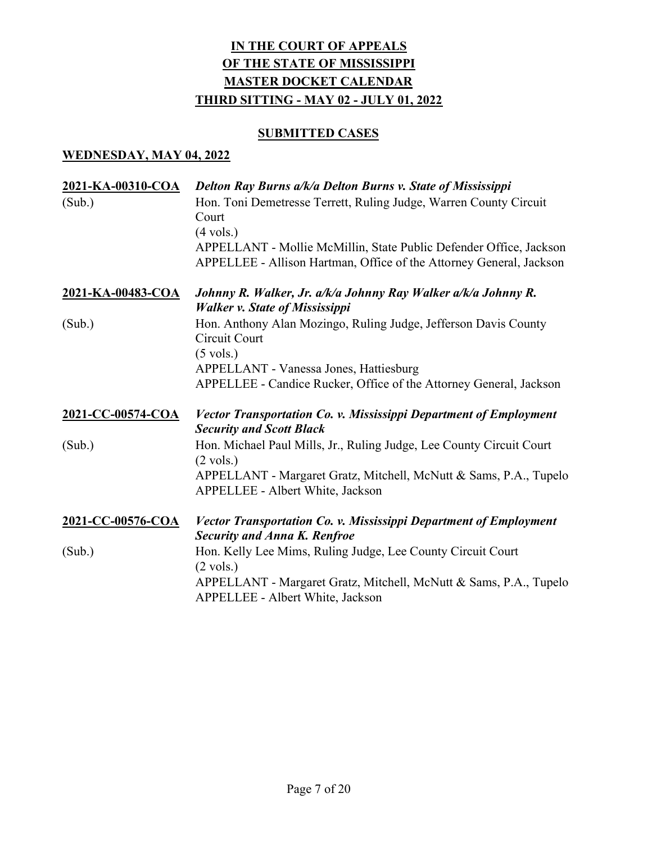### **SUBMITTED CASES**

| 2021-KA-00310-COA        | Delton Ray Burns a/k/a Delton Burns v. State of Mississippi                                            |
|--------------------------|--------------------------------------------------------------------------------------------------------|
| (Sub.)                   | Hon. Toni Demetresse Terrett, Ruling Judge, Warren County Circuit<br>Court                             |
|                          | $(4 \text{ vols.})$                                                                                    |
|                          | APPELLANT - Mollie McMillin, State Public Defender Office, Jackson                                     |
|                          | APPELLEE - Allison Hartman, Office of the Attorney General, Jackson                                    |
| <u>2021-KA-00483-COA</u> | Johnny R. Walker, Jr. a/k/a Johnny Ray Walker a/k/a Johnny R.<br><b>Walker v. State of Mississippi</b> |
| (Sub.)                   | Hon. Anthony Alan Mozingo, Ruling Judge, Jefferson Davis County                                        |
|                          | Circuit Court                                                                                          |
|                          | $(5 \text{ vols.})$                                                                                    |
|                          | APPELLANT - Vanessa Jones, Hattiesburg                                                                 |
|                          | APPELLEE - Candice Rucker, Office of the Attorney General, Jackson                                     |
| 2021-CC-00574-COA        | Vector Transportation Co. v. Mississippi Department of Employment                                      |
|                          | <b>Security and Scott Black</b>                                                                        |
| (Sub.)                   | Hon. Michael Paul Mills, Jr., Ruling Judge, Lee County Circuit Court<br>$(2 \text{ vols.})$            |
|                          | APPELLANT - Margaret Gratz, Mitchell, McNutt & Sams, P.A., Tupelo                                      |
|                          | APPELLEE - Albert White, Jackson                                                                       |
| 2021-CC-00576-COA        | Vector Transportation Co. v. Mississippi Department of Employment                                      |
|                          | <b>Security and Anna K. Renfroe</b>                                                                    |
| (Sub.)                   | Hon. Kelly Lee Mims, Ruling Judge, Lee County Circuit Court<br>$(2 \text{ vols.})$                     |
|                          | APPELLANT - Margaret Gratz, Mitchell, McNutt & Sams, P.A., Tupelo                                      |
|                          | <b>APPELLEE - Albert White, Jackson</b>                                                                |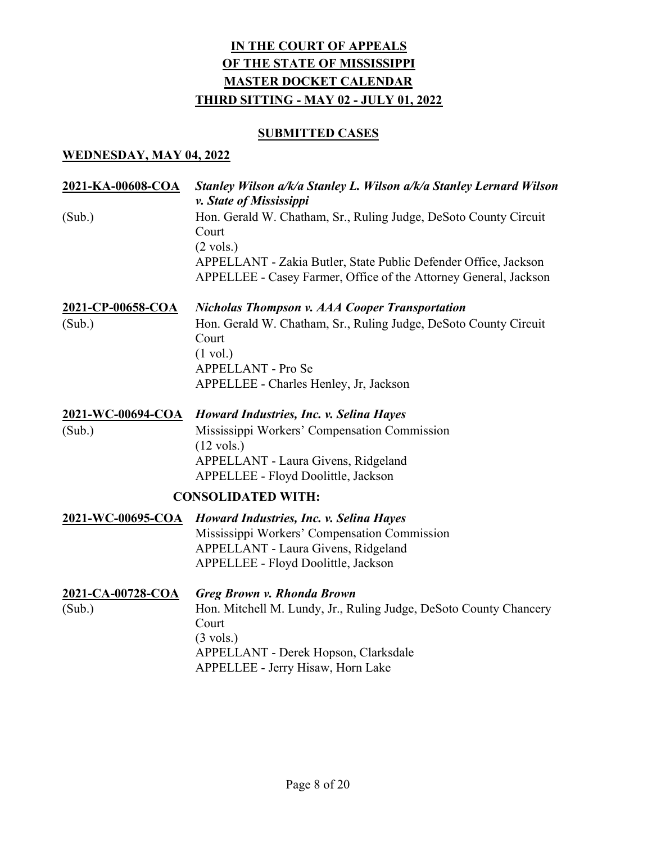### **SUBMITTED CASES**

| 2021-KA-00608-COA           | Stanley Wilson a/k/a Stanley L. Wilson a/k/a Stanley Lernard Wilson<br>v. State of Mississippi                                                                                                                                          |
|-----------------------------|-----------------------------------------------------------------------------------------------------------------------------------------------------------------------------------------------------------------------------------------|
| (Sub.)                      | Hon. Gerald W. Chatham, Sr., Ruling Judge, DeSoto County Circuit<br>Court<br>$(2 \text{ vols.})$<br>APPELLANT - Zakia Butler, State Public Defender Office, Jackson<br>APPELLEE - Casey Farmer, Office of the Attorney General, Jackson |
| 2021-CP-00658-COA           | <b>Nicholas Thompson v. AAA Cooper Transportation</b>                                                                                                                                                                                   |
| (Sub.)                      | Hon. Gerald W. Chatham, Sr., Ruling Judge, DeSoto County Circuit<br>Court<br>$(1 \text{ vol.})$<br>APPELLANT - Pro Se                                                                                                                   |
|                             | APPELLEE - Charles Henley, Jr, Jackson                                                                                                                                                                                                  |
| 2021-WC-00694-COA           | Howard Industries, Inc. v. Selina Hayes                                                                                                                                                                                                 |
| (Sub.)                      | Mississippi Workers' Compensation Commission<br>$(12 \text{ vols.})$<br>APPELLANT - Laura Givens, Ridgeland<br>APPELLEE - Floyd Doolittle, Jackson                                                                                      |
|                             | <b>CONSOLIDATED WITH:</b>                                                                                                                                                                                                               |
| 2021-WC-00695-COA           | Howard Industries, Inc. v. Selina Hayes<br>Mississippi Workers' Compensation Commission<br>APPELLANT - Laura Givens, Ridgeland<br>APPELLEE - Floyd Doolittle, Jackson                                                                   |
| 2021-CA-00728-COA<br>(Sub.) | <b>Greg Brown v. Rhonda Brown</b><br>Hon. Mitchell M. Lundy, Jr., Ruling Judge, DeSoto County Chancery<br>Court<br>$(3 \text{ vols.})$<br>APPELLANT - Derek Hopson, Clarksdale<br>APPELLEE - Jerry Hisaw, Horn Lake                     |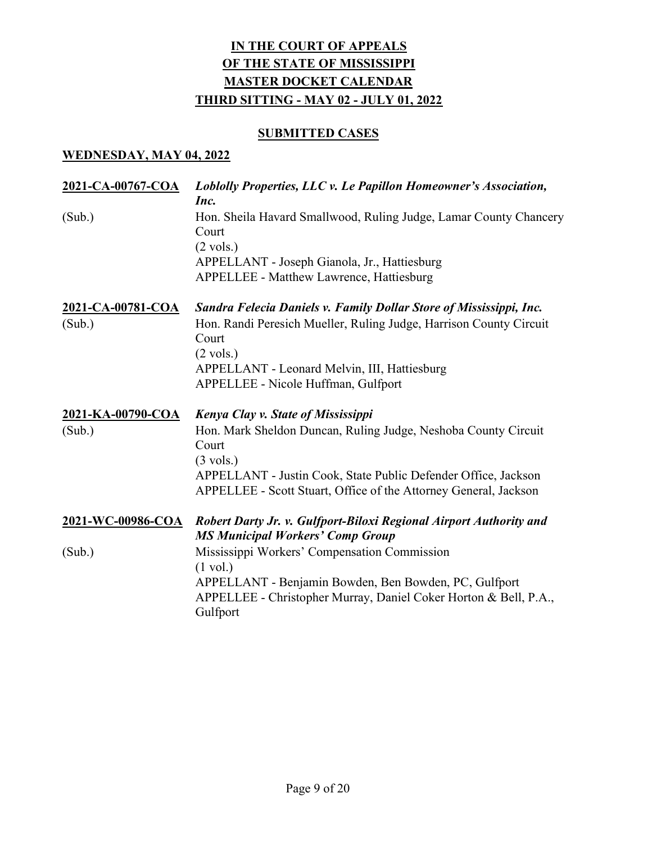### **SUBMITTED CASES**

| 2021-CA-00767-COA | Loblolly Properties, LLC v. Le Papillon Homeowner's Association,<br>Inc.                                                                          |
|-------------------|---------------------------------------------------------------------------------------------------------------------------------------------------|
| (Sub.)            | Hon. Sheila Havard Smallwood, Ruling Judge, Lamar County Chancery<br>Court<br>$(2 \text{ vols.})$<br>APPELLANT - Joseph Gianola, Jr., Hattiesburg |
|                   | <b>APPELLEE - Matthew Lawrence, Hattiesburg</b>                                                                                                   |
| 2021-CA-00781-COA | Sandra Felecia Daniels v. Family Dollar Store of Mississippi, Inc.                                                                                |
| (Sub.)            | Hon. Randi Peresich Mueller, Ruling Judge, Harrison County Circuit<br>Court<br>$(2 \text{ vols.})$                                                |
|                   | APPELLANT - Leonard Melvin, III, Hattiesburg<br>APPELLEE - Nicole Huffman, Gulfport                                                               |
| 2021-KA-00790-COA | Kenya Clay v. State of Mississippi                                                                                                                |
| (Sub.)            | Hon. Mark Sheldon Duncan, Ruling Judge, Neshoba County Circuit<br>Court<br>$(3 \text{ vols.})$                                                    |
|                   | APPELLANT - Justin Cook, State Public Defender Office, Jackson<br>APPELLEE - Scott Stuart, Office of the Attorney General, Jackson                |
| 2021-WC-00986-COA | Robert Darty Jr. v. Gulfport-Biloxi Regional Airport Authority and<br><b>MS Municipal Workers' Comp Group</b>                                     |
| (Sub.)            | Mississippi Workers' Compensation Commission<br>$(1 \text{ vol.})$                                                                                |
|                   | APPELLANT - Benjamin Bowden, Ben Bowden, PC, Gulfport<br>APPELLEE - Christopher Murray, Daniel Coker Horton & Bell, P.A.,<br>Gulfport             |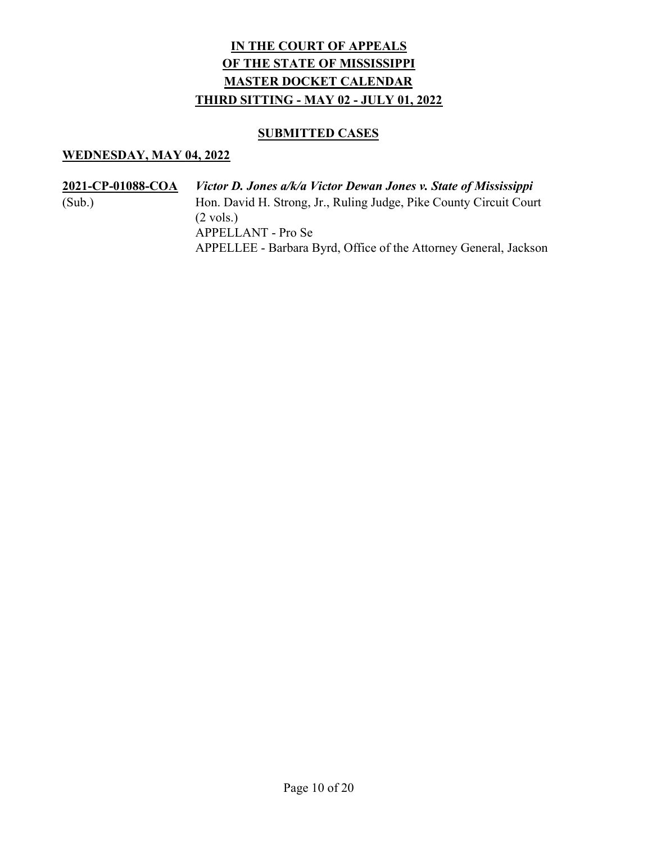### **SUBMITTED CASES**

| 2021-CP-01088-COA | <i>Victor D. Jones a/k/a Victor Dewan Jones v. State of Mississippi</i> |
|-------------------|-------------------------------------------------------------------------|
| (Sub.)            | Hon. David H. Strong, Jr., Ruling Judge, Pike County Circuit Court      |
|                   | $(2 \text{ vols.})$                                                     |
|                   | APPELLANT - Pro Se                                                      |
|                   | APPELLEE - Barbara Byrd, Office of the Attorney General, Jackson        |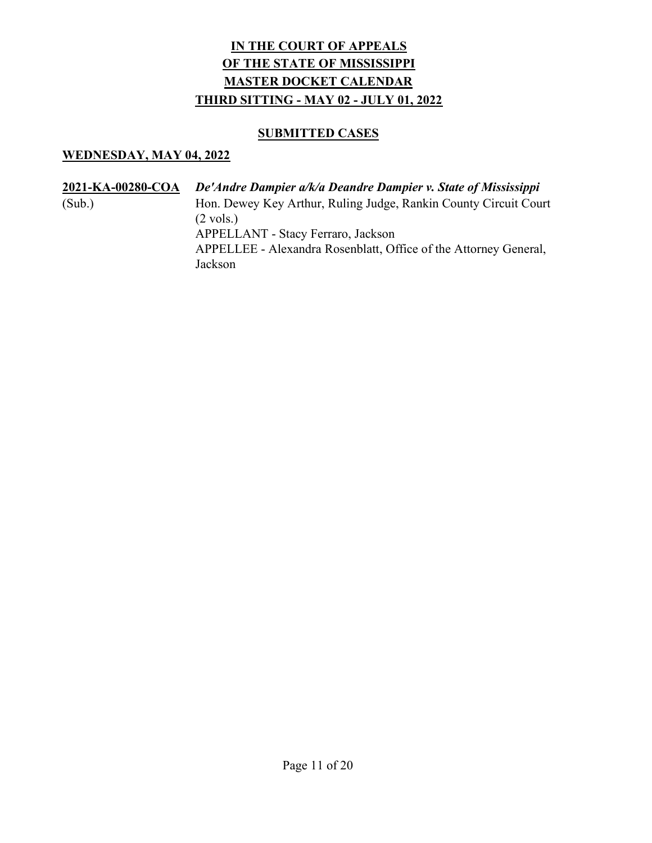### **SUBMITTED CASES**

| 2021-KA-00280-COA | De'Andre Dampier a/k/a Deandre Dampier v. State of Mississippi   |
|-------------------|------------------------------------------------------------------|
| (Sub.)            | Hon. Dewey Key Arthur, Ruling Judge, Rankin County Circuit Court |
|                   | $(2 \text{ vols.})$                                              |
|                   | APPELLANT - Stacy Ferraro, Jackson                               |
|                   | APPELLEE - Alexandra Rosenblatt, Office of the Attorney General, |
|                   | Jackson                                                          |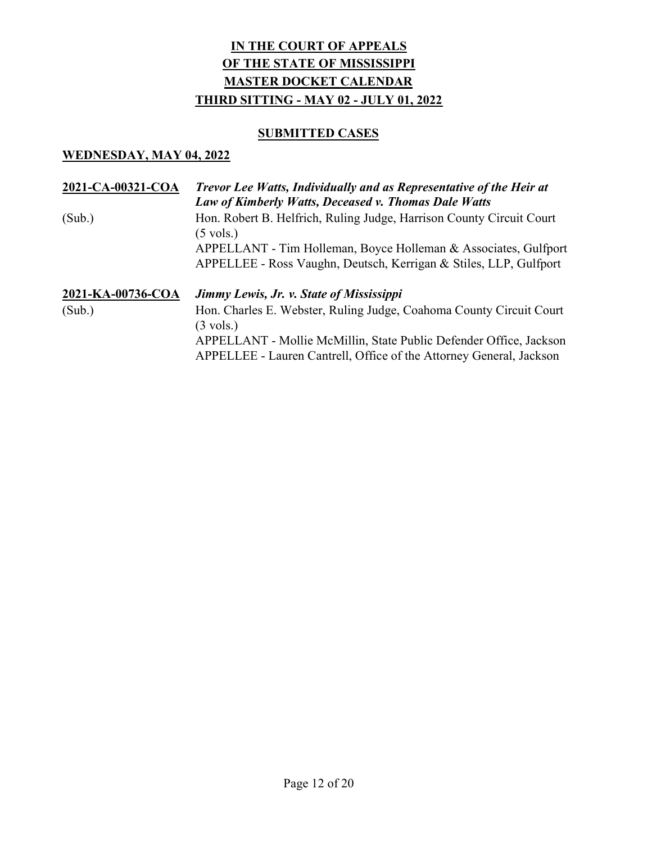### **SUBMITTED CASES**

| 2021-CA-00321-COA | Trevor Lee Watts, Individually and as Representative of the Heir at<br>Law of Kimberly Watts, Deceased v. Thomas Dale Watts               |
|-------------------|-------------------------------------------------------------------------------------------------------------------------------------------|
| (Sub.)            | Hon. Robert B. Helfrich, Ruling Judge, Harrison County Circuit Court<br>$(5 \text{ vols.})$                                               |
|                   | APPELLANT - Tim Holleman, Boyce Holleman & Associates, Gulfport<br>APPELLEE - Ross Vaughn, Deutsch, Kerrigan & Stiles, LLP, Gulfport      |
| 2021-KA-00736-COA | Jimmy Lewis, Jr. v. State of Mississippi                                                                                                  |
| (Sub.)            | Hon. Charles E. Webster, Ruling Judge, Coahoma County Circuit Court<br>$(3 \text{ vols.})$                                                |
|                   | APPELLANT - Mollie McMillin, State Public Defender Office, Jackson<br>APPELLEE - Lauren Cantrell, Office of the Attorney General, Jackson |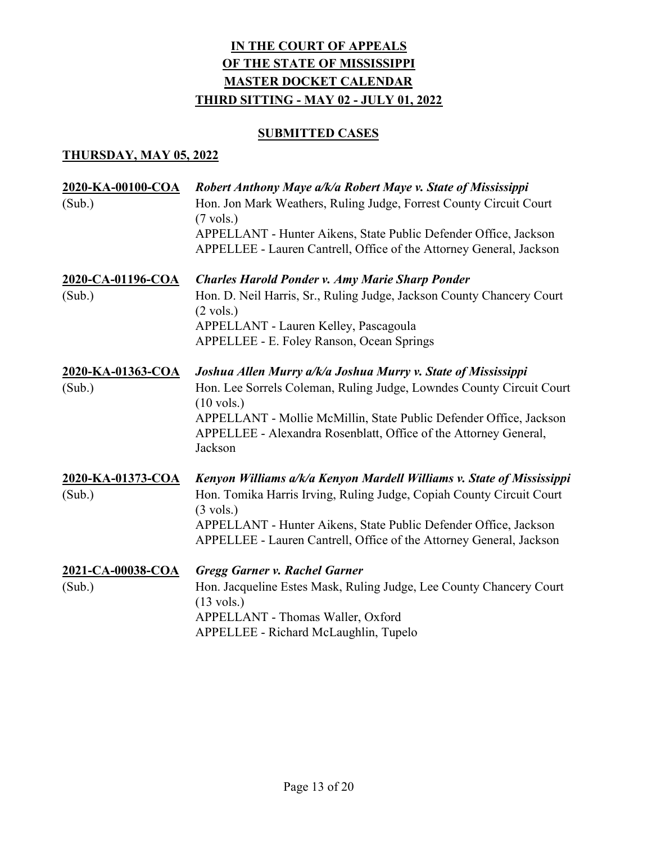### **SUBMITTED CASES**

| 2020-KA-00100-COA<br>(Sub.) | Robert Anthony Maye a/k/a Robert Maye v. State of Mississippi<br>Hon. Jon Mark Weathers, Ruling Judge, Forrest County Circuit Court<br>$(7 \text{ vols.})$<br>APPELLANT - Hunter Aikens, State Public Defender Office, Jackson<br>APPELLEE - Lauren Cantrell, Office of the Attorney General, Jackson              |
|-----------------------------|--------------------------------------------------------------------------------------------------------------------------------------------------------------------------------------------------------------------------------------------------------------------------------------------------------------------|
| 2020-CA-01196-COA<br>(Sub.) | <b>Charles Harold Ponder v. Amy Marie Sharp Ponder</b><br>Hon. D. Neil Harris, Sr., Ruling Judge, Jackson County Chancery Court<br>$(2 \text{ vols.})$<br>APPELLANT - Lauren Kelley, Pascagoula                                                                                                                    |
|                             | APPELLEE - E. Foley Ranson, Ocean Springs                                                                                                                                                                                                                                                                          |
| 2020-KA-01363-COA<br>(Sub.) | Joshua Allen Murry a/k/a Joshua Murry v. State of Mississippi<br>Hon. Lee Sorrels Coleman, Ruling Judge, Lowndes County Circuit Court<br>$(10 \text{ vols.})$<br>APPELLANT - Mollie McMillin, State Public Defender Office, Jackson<br>APPELLEE - Alexandra Rosenblatt, Office of the Attorney General,<br>Jackson |
| 2020-KA-01373-COA<br>(Sub.) | Kenyon Williams a/k/a Kenyon Mardell Williams v. State of Mississippi<br>Hon. Tomika Harris Irving, Ruling Judge, Copiah County Circuit Court<br>$(3 \text{ vols.})$<br>APPELLANT - Hunter Aikens, State Public Defender Office, Jackson<br>APPELLEE - Lauren Cantrell, Office of the Attorney General, Jackson    |
| 2021-CA-00038-COA<br>(Sub.) | <b>Gregg Garner v. Rachel Garner</b><br>Hon. Jacqueline Estes Mask, Ruling Judge, Lee County Chancery Court<br>$(13 \text{ vols.})$<br>APPELLANT - Thomas Waller, Oxford<br>APPELLEE - Richard McLaughlin, Tupelo                                                                                                  |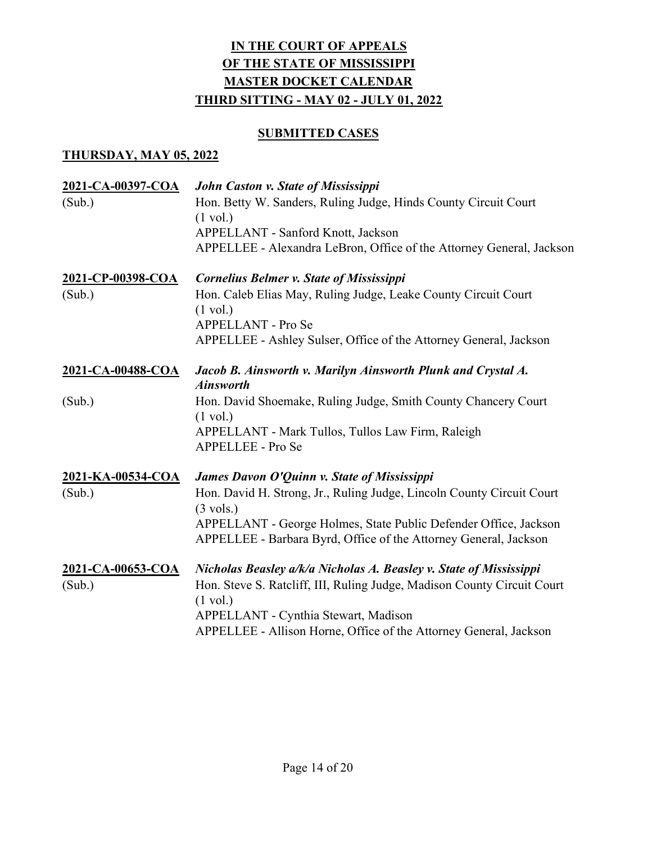### **SUBMITTED CASES**

| 2021-CA-00397-COA<br>(Sub.) | John Caston v. State of Mississippi<br>Hon. Betty W. Sanders, Ruling Judge, Hinds County Circuit Court<br>$(1 \text{ vol.})$<br>APPELLANT - Sanford Knott, Jackson<br>APPELLEE - Alexandra LeBron, Office of the Attorney General, Jackson                                       |
|-----------------------------|----------------------------------------------------------------------------------------------------------------------------------------------------------------------------------------------------------------------------------------------------------------------------------|
| 2021-CP-00398-COA<br>(Sub.) | <b>Cornelius Belmer v. State of Mississippi</b><br>Hon. Caleb Elias May, Ruling Judge, Leake County Circuit Court<br>$(1 \text{ vol.})$<br>APPELLANT - Pro Se<br>APPELLEE - Ashley Sulser, Office of the Attorney General, Jackson                                               |
| 2021-CA-00488-COA           | Jacob B. Ainsworth v. Marilyn Ainsworth Plunk and Crystal A.<br><b>Ainsworth</b>                                                                                                                                                                                                 |
| (Sub.)                      | Hon. David Shoemake, Ruling Judge, Smith County Chancery Court<br>$(1 \text{ vol.})$<br>APPELLANT - Mark Tullos, Tullos Law Firm, Raleigh<br><b>APPELLEE - Pro Se</b>                                                                                                            |
| <u>2021-KA-00534-COA</u>    | James Davon O'Quinn v. State of Mississippi                                                                                                                                                                                                                                      |
| (Sub.)                      | Hon. David H. Strong, Jr., Ruling Judge, Lincoln County Circuit Court<br>$(3 \text{ vols.})$<br>APPELLANT - George Holmes, State Public Defender Office, Jackson<br>APPELLEE - Barbara Byrd, Office of the Attorney General, Jackson                                             |
| 2021-CA-00653-COA<br>(Sub.) | Nicholas Beasley a/k/a Nicholas A. Beasley v. State of Mississippi<br>Hon. Steve S. Ratcliff, III, Ruling Judge, Madison County Circuit Court<br>$(1 \text{ vol.})$<br>APPELLANT - Cynthia Stewart, Madison<br>APPELLEE - Allison Horne, Office of the Attorney General, Jackson |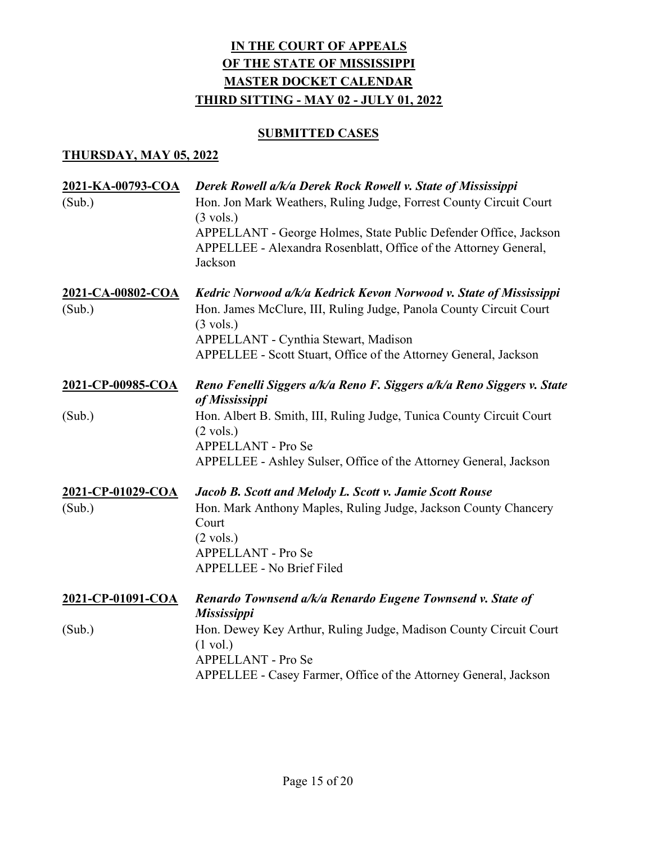### **SUBMITTED CASES**

| 2021-KA-00793-COA<br>(Sub.) | Derek Rowell a/k/a Derek Rock Rowell v. State of Mississippi<br>Hon. Jon Mark Weathers, Ruling Judge, Forrest County Circuit Court<br>$(3 \text{ vols.})$<br>APPELLANT - George Holmes, State Public Defender Office, Jackson<br>APPELLEE - Alexandra Rosenblatt, Office of the Attorney General,<br>Jackson |
|-----------------------------|--------------------------------------------------------------------------------------------------------------------------------------------------------------------------------------------------------------------------------------------------------------------------------------------------------------|
| 2021-CA-00802-COA<br>(Sub.) | Kedric Norwood a/k/a Kedrick Kevon Norwood v. State of Mississippi<br>Hon. James McClure, III, Ruling Judge, Panola County Circuit Court<br>$(3 \text{ vols.})$<br>APPELLANT - Cynthia Stewart, Madison<br>APPELLEE - Scott Stuart, Office of the Attorney General, Jackson                                  |
| 2021-CP-00985-COA           | Reno Fenelli Siggers a/k/a Reno F. Siggers a/k/a Reno Siggers v. State<br>of Mississippi                                                                                                                                                                                                                     |
| (Sub.)                      | Hon. Albert B. Smith, III, Ruling Judge, Tunica County Circuit Court<br>$(2 \text{ vols.})$<br>APPELLANT - Pro Se<br>APPELLEE - Ashley Sulser, Office of the Attorney General, Jackson                                                                                                                       |
| 2021-CP-01029-COA<br>(Sub.) | Jacob B. Scott and Melody L. Scott v. Jamie Scott Rouse<br>Hon. Mark Anthony Maples, Ruling Judge, Jackson County Chancery<br>Court<br>$(2 \text{ vols.})$<br>APPELLANT - Pro Se<br><b>APPELLEE - No Brief Filed</b>                                                                                         |
| 2021-CP-01091-COA           | Renardo Townsend a/k/a Renardo Eugene Townsend v. State of<br><b>Mississippi</b>                                                                                                                                                                                                                             |
| (Sub.)                      | Hon. Dewey Key Arthur, Ruling Judge, Madison County Circuit Court<br>$(1 \text{ vol.})$<br>APPELLANT - Pro Se<br>APPELLEE - Casey Farmer, Office of the Attorney General, Jackson                                                                                                                            |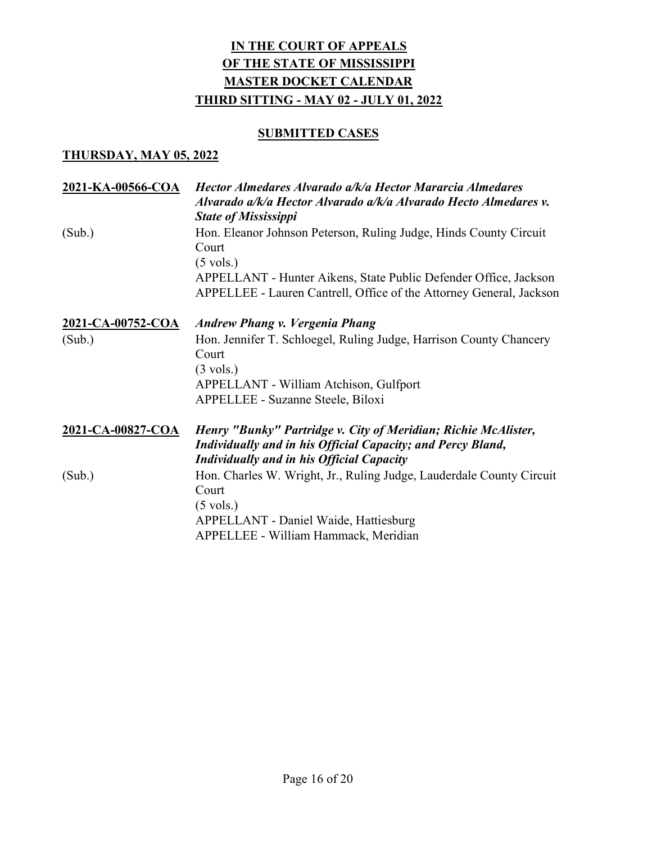### **SUBMITTED CASES**

| 2021-KA-00566-COA | Hector Almedares Alvarado a/k/a Hector Mararcia Almedares<br>Alvarado a/k/a Hector Alvarado a/k/a Alvarado Hecto Almedares v.<br><b>State of Mississippi</b>                      |
|-------------------|-----------------------------------------------------------------------------------------------------------------------------------------------------------------------------------|
| (Sub.)            | Hon. Eleanor Johnson Peterson, Ruling Judge, Hinds County Circuit<br>Court<br>$(5 \text{ vols.})$                                                                                 |
|                   | APPELLANT - Hunter Aikens, State Public Defender Office, Jackson<br>APPELLEE - Lauren Cantrell, Office of the Attorney General, Jackson                                           |
| 2021-CA-00752-COA | <b>Andrew Phang v. Vergenia Phang</b>                                                                                                                                             |
| (Sub.)            | Hon. Jennifer T. Schloegel, Ruling Judge, Harrison County Chancery<br>Court<br>$(3 \text{ vols.})$                                                                                |
|                   | APPELLANT - William Atchison, Gulfport                                                                                                                                            |
|                   | APPELLEE - Suzanne Steele, Biloxi                                                                                                                                                 |
| 2021-CA-00827-COA | Henry "Bunky" Partridge v. City of Meridian; Richie McAlister,<br>Individually and in his Official Capacity; and Percy Bland,<br><b>Individually and in his Official Capacity</b> |
| (Sub.)            | Hon. Charles W. Wright, Jr., Ruling Judge, Lauderdale County Circuit<br>Court<br>$(5 \text{ vols.})$<br>APPELLANT - Daniel Waide, Hattiesburg                                     |
|                   | APPELLEE - William Hammack, Meridian                                                                                                                                              |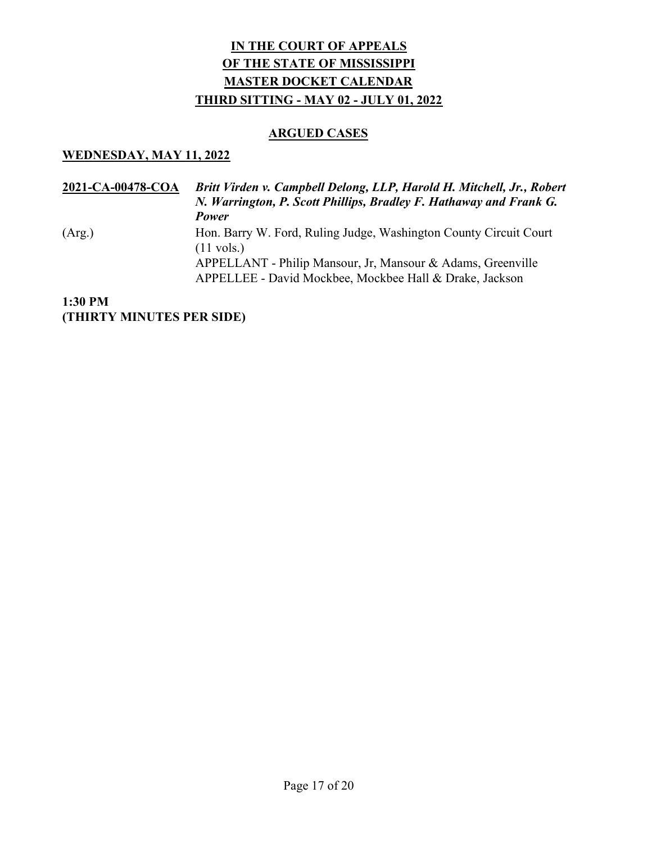#### ARGUED CASES

#### WEDNESDAY, MAY 11, 2022

2021-CA-00478-COA Britt Virden v. Campbell Delong, LLP, Harold H. Mitchell, Jr., Robert N. Warrington, P. Scott Phillips, Bradley F. Hathaway and Frank G. Power (Arg.) Hon. Barry W. Ford, Ruling Judge, Washington County Circuit Court (11 vols.) APPELLANT - Philip Mansour, Jr, Mansour & Adams, Greenville APPELLEE - David Mockbee, Mockbee Hall & Drake, Jackson

1:30 PM (THIRTY MINUTES PER SIDE)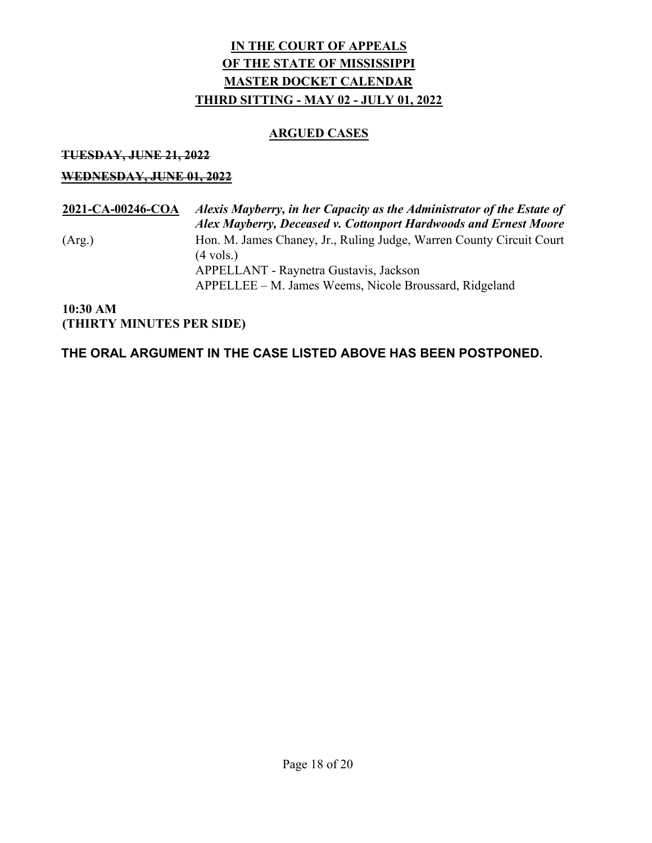### ARGUED CASES

TUESDAY, JUNE 21, 2022

### WEDNESDAY, JUNE 01, 2022

| 2021-CA-00246-COA | Alexis Mayberry, in her Capacity as the Administrator of the Estate of<br>Alex Mayberry, Deceased v. Cottonport Hardwoods and Ernest Moore                                                      |
|-------------------|-------------------------------------------------------------------------------------------------------------------------------------------------------------------------------------------------|
| (Arg.)            | Hon. M. James Chaney, Jr., Ruling Judge, Warren County Circuit Court<br>$(4 \text{ vols.})$<br>APPELLANT - Raynetra Gustavis, Jackson<br>APPELLEE – M. James Weems, Nicole Broussard, Ridgeland |
|                   |                                                                                                                                                                                                 |

10:30 AM (THIRTY MINUTES PER SIDE)

THE ORAL ARGUMENT IN THE CASE LISTED ABOVE HAS BEEN POSTPONED.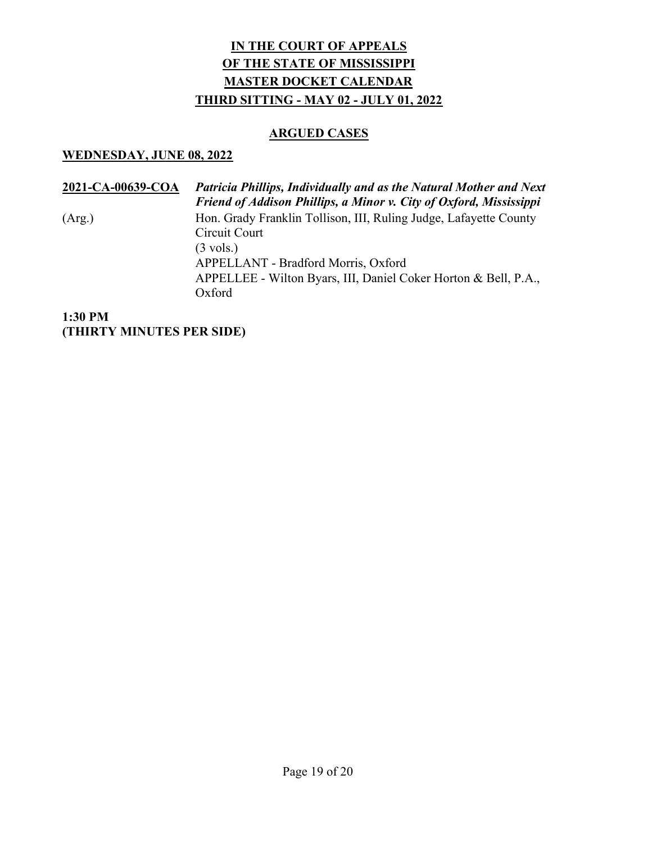### ARGUED CASES

#### WEDNESDAY, JUNE 08, 2022

2021-CA-00639-COA Patricia Phillips, Individually and as the Natural Mother and Next Friend of Addison Phillips, a Minor v. City of Oxford, Mississippi (Arg.) Hon. Grady Franklin Tollison, III, Ruling Judge, Lafayette County Circuit Court (3 vols.) APPELLANT - Bradford Morris, Oxford APPELLEE - Wilton Byars, III, Daniel Coker Horton & Bell, P.A., Oxford

1:30 PM (THIRTY MINUTES PER SIDE)